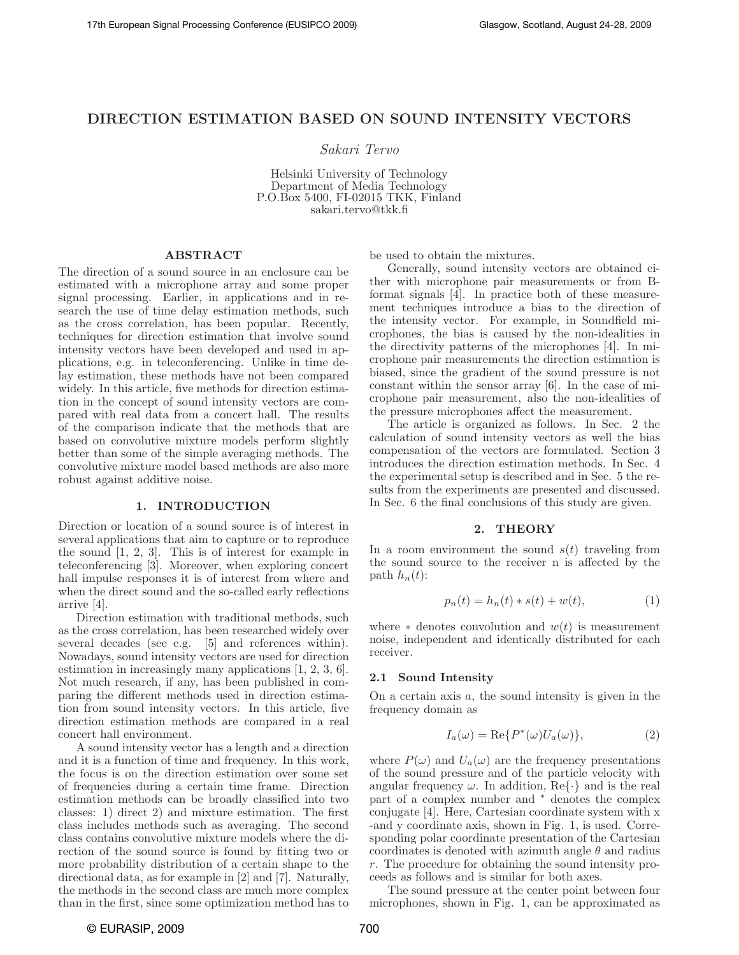# DIRECTION ESTIMATION BASED ON SOUND INTENSITY VECTORS

Sakari Tervo

Helsinki University of Technology Department of Media Technology P.O.Box 5400, FI-02015 TKK, Finland sakari.tervo@tkk.fi

### ABSTRACT

The direction of a sound source in an enclosure can be estimated with a microphone array and some proper signal processing. Earlier, in applications and in research the use of time delay estimation methods, such as the cross correlation, has been popular. Recently, techniques for direction estimation that involve sound intensity vectors have been developed and used in applications, e.g. in teleconferencing. Unlike in time delay estimation, these methods have not been compared widely. In this article, five methods for direction estimation in the concept of sound intensity vectors are compared with real data from a concert hall. The results of the comparison indicate that the methods that are based on convolutive mixture models perform slightly better than some of the simple averaging methods. The convolutive mixture model based methods are also more robust against additive noise.

#### 1. INTRODUCTION

Direction or location of a sound source is of interest in several applications that aim to capture or to reproduce the sound [1, 2, 3]. This is of interest for example in teleconferencing [3]. Moreover, when exploring concert hall impulse responses it is of interest from where and when the direct sound and the so-called early reflections arrive [4].

Direction estimation with traditional methods, such as the cross correlation, has been researched widely over several decades (see e.g. [5] and references within). Nowadays, sound intensity vectors are used for direction estimation in increasingly many applications [1, 2, 3, 6]. Not much research, if any, has been published in comparing the different methods used in direction estimation from sound intensity vectors. In this article, five direction estimation methods are compared in a real concert hall environment.

A sound intensity vector has a length and a direction and it is a function of time and frequency. In this work, the focus is on the direction estimation over some set of frequencies during a certain time frame. Direction estimation methods can be broadly classified into two classes: 1) direct 2) and mixture estimation. The first class includes methods such as averaging. The second class contains convolutive mixture models where the direction of the sound source is found by fitting two or more probability distribution of a certain shape to the directional data, as for example in [2] and [7]. Naturally, the methods in the second class are much more complex than in the first, since some optimization method has to

be used to obtain the mixtures.

Generally, sound intensity vectors are obtained either with microphone pair measurements or from Bformat signals [4]. In practice both of these measurement techniques introduce a bias to the direction of the intensity vector. For example, in Soundfield microphones, the bias is caused by the non-idealities in the directivity patterns of the microphones [4]. In microphone pair measurements the direction estimation is biased, since the gradient of the sound pressure is not constant within the sensor array [6]. In the case of microphone pair measurement, also the non-idealities of the pressure microphones affect the measurement.

The article is organized as follows. In Sec. 2 the calculation of sound intensity vectors as well the bias compensation of the vectors are formulated. Section 3 introduces the direction estimation methods. In Sec. 4 the experimental setup is described and in Sec. 5 the results from the experiments are presented and discussed. In Sec. 6 the final conclusions of this study are given.

### 2. THEORY

In a room environment the sound  $s(t)$  traveling from the sound source to the receiver n is affected by the path  $h_n(t)$ :

$$
p_n(t) = h_n(t) * s(t) + w(t),
$$
 (1)

where  $*$  denotes convolution and  $w(t)$  is measurement noise, independent and identically distributed for each receiver.

#### 2.1 Sound Intensity

On a certain axis  $a$ , the sound intensity is given in the frequency domain as

$$
I_a(\omega) = \text{Re}\{P^*(\omega)U_a(\omega)\},\tag{2}
$$

where  $P(\omega)$  and  $U_a(\omega)$  are the frequency presentations of the sound pressure and of the particle velocity with angular frequency  $\omega$ . In addition, Re $\{\cdot\}$  and is the real part of a complex number and <sup>∗</sup> denotes the complex conjugate [4]. Here, Cartesian coordinate system with x -and y coordinate axis, shown in Fig. 1, is used. Corresponding polar coordinate presentation of the Cartesian coordinates is denoted with azimuth angle  $\theta$  and radius r. The procedure for obtaining the sound intensity proceeds as follows and is similar for both axes.

The sound pressure at the center point between four microphones, shown in Fig. 1, can be approximated as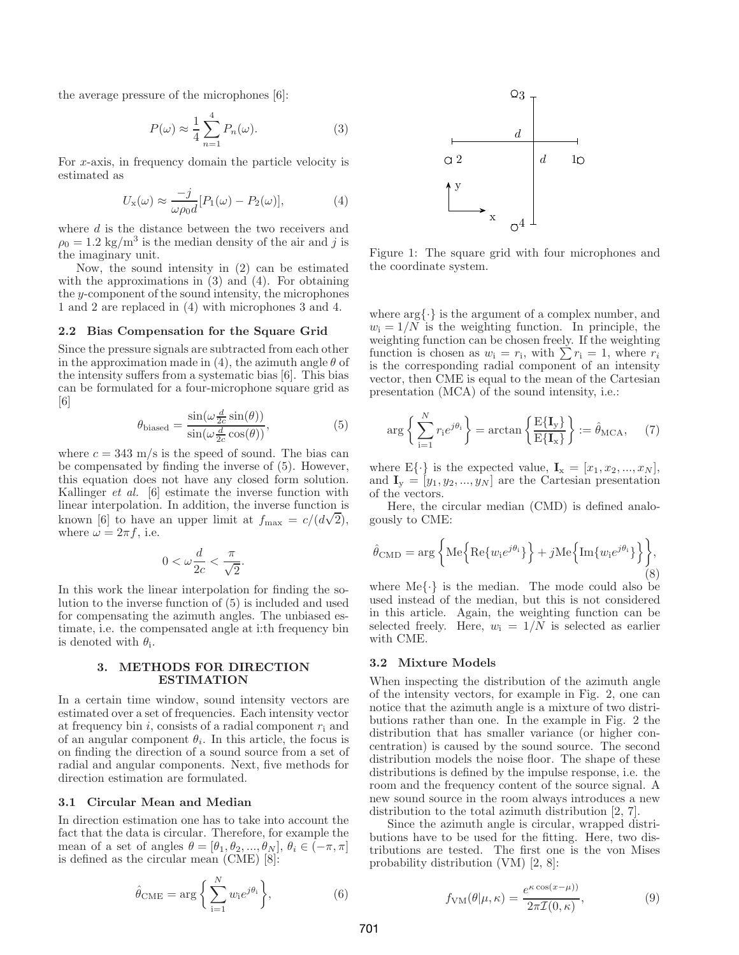the average pressure of the microphones [6]:

$$
P(\omega) \approx \frac{1}{4} \sum_{n=1}^{4} P_n(\omega).
$$
 (3)

For x-axis, in frequency domain the particle velocity is estimated as

$$
U_{\mathbf{x}}(\omega) \approx \frac{-j}{\omega \rho_0 d} [P_1(\omega) - P_2(\omega)],\tag{4}
$$

where  $d$  is the distance between the two receivers and  $\rho_0 = 1.2 \text{ kg/m}^3$  is the median density of the air and j is the imaginary unit.

Now, the sound intensity in (2) can be estimated with the approximations in (3) and (4). For obtaining the y-component of the sound intensity, the microphones 1 and 2 are replaced in (4) with microphones 3 and 4.

### 2.2 Bias Compensation for the Square Grid

Since the pressure signals are subtracted from each other in the approximation made in (4), the azimuth angle  $\theta$  of the intensity suffers from a systematic bias [6]. This bias can be formulated for a four-microphone square grid as [6]

$$
\theta_{\text{biased}} = \frac{\sin(\omega \frac{d}{2c} \sin(\theta))}{\sin(\omega \frac{d}{2c} \cos(\theta))},\tag{5}
$$

where  $c = 343$  m/s is the speed of sound. The bias can be compensated by finding the inverse of (5). However, this equation does not have any closed form solution. Kallinger et al. [6] estimate the inverse function with linear interpolation. In addition, the inverse function is known [6] to have an upper limit at  $f_{\text{max}} = c/(d\sqrt{2})$ , where  $\omega = 2\pi f$ , i.e.

$$
0 < \omega \frac{d}{2c} < \frac{\pi}{\sqrt{2}}.
$$

In this work the linear interpolation for finding the solution to the inverse function of (5) is included and used for compensating the azimuth angles. The unbiased estimate, i.e. the compensated angle at i:th frequency bin is denoted with  $\theta_i$ .

# 3. METHODS FOR DIRECTION ESTIMATION

In a certain time window, sound intensity vectors are estimated over a set of frequencies. Each intensity vector at frequency bin i, consists of a radial component  $r_i$  and of an angular component  $\theta_i$ . In this article, the focus is on finding the direction of a sound source from a set of radial and angular components. Next, five methods for direction estimation are formulated.

# 3.1 Circular Mean and Median

In direction estimation one has to take into account the fact that the data is circular. Therefore, for example the mean of a set of angles  $\theta = [\theta_1, \theta_2, ..., \theta_N], \theta_i \in (-\pi, \pi]$ is defined as the circular mean (CME) [8]:

$$
\hat{\theta}_{\text{CME}} = \arg\bigg\{\sum_{i=1}^{N} w_i e^{j\theta_i}\bigg\},\tag{6}
$$



Figure 1: The square grid with four microphones and the coordinate system.

where  $\arg\{\cdot\}$  is the argument of a complex number, and  $w_i = 1/N$  is the weighting function. In principle, the weighting function can be chosen freely. If the weighting function is chosen as  $w_i = r_i$ , with  $\sum r_i = 1$ , where  $r_i$ is the corresponding radial component of an intensity vector, then CME is equal to the mean of the Cartesian presentation (MCA) of the sound intensity, i.e.:

$$
\arg\left\{\sum_{i=1}^{N} r_i e^{j\theta_i}\right\} = \arctan\left\{\frac{E\{\mathbf{I}_y\}}{E\{\mathbf{I}_x\}}\right\} := \hat{\theta}_{\text{MCA}},\quad(7)
$$

where  $E\{\cdot\}$  is the expected value,  $\mathbf{I}_x = [x_1, x_2, ..., x_N],$ and  $\mathbf{I}_y = [y_1, y_2, ..., y_N]$  are the Cartesian presentation of the vectors.

Here, the circular median (CMD) is defined analogously to CME:

$$
\hat{\theta}_{\text{CMD}} = \arg \left\{ \text{Me} \left\{ \text{Re}\{w_i e^{j\theta_i}\} \right\} + j \text{Me} \left\{ \text{Im}\{w_i e^{j\theta_i}\} \right\} \right\},\tag{8}
$$

where  $\text{Me}\{\cdot\}$  is the median. The mode could also be used instead of the median, but this is not considered in this article. Again, the weighting function can be selected freely. Here,  $w_i = 1/N$  is selected as earlier with CME.

# 3.2 Mixture Models

When inspecting the distribution of the azimuth angle of the intensity vectors, for example in Fig. 2, one can notice that the azimuth angle is a mixture of two distributions rather than one. In the example in Fig. 2 the distribution that has smaller variance (or higher concentration) is caused by the sound source. The second distribution models the noise floor. The shape of these distributions is defined by the impulse response, i.e. the room and the frequency content of the source signal. A new sound source in the room always introduces a new distribution to the total azimuth distribution [2, 7].

Since the azimuth angle is circular, wrapped distributions have to be used for the fitting. Here, two distributions are tested. The first one is the von Mises probability distribution (VM) [2, 8]:

$$
f_{\rm VM}(\theta|\mu,\kappa) = \frac{e^{\kappa \cos(x-\mu))}}{2\pi \mathcal{I}(0,\kappa)},\tag{9}
$$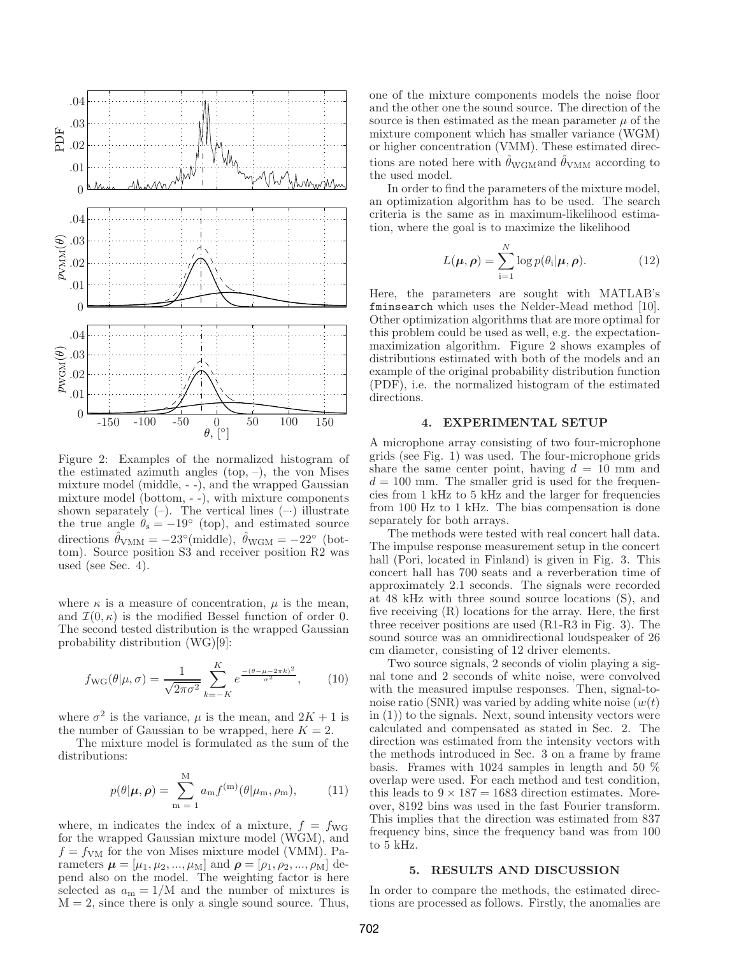

Figure 2: Examples of the normalized histogram of the estimated azimuth angles (top,  $-$ ), the von Mises mixture model (middle, - -), and the wrapped Gaussian mixture model (bottom, - -), with mixture components shown separately  $(-)$ . The vertical lines  $(-)$  illustrate the true angle  $\theta_s = -19^\circ$  (top), and estimated source directions  $\hat{\theta}_{VMM} = -23^{\circ} \text{ (middle)}$ ,  $\hat{\theta}_{WGM} = -22^{\circ} \text{ (bot-1)}$ tom). Source position S3 and receiver position R2 was used (see Sec. 4).

where  $\kappa$  is a measure of concentration,  $\mu$  is the mean, and  $\mathcal{I}(0,\kappa)$  is the modified Bessel function of order 0. The second tested distribution is the wrapped Gaussian probability distribution (WG)[9]:

$$
f_{\rm WG}(\theta|\mu,\sigma) = \frac{1}{\sqrt{2\pi\sigma^2}} \sum_{k=-K}^{K} e^{\frac{-(\theta-\mu-2\pi k)^2}{\sigma^2}}, \qquad (10)
$$

where  $\sigma^2$  is the variance,  $\mu$  is the mean, and  $2K + 1$  is the number of Gaussian to be wrapped, here  $K = 2$ .

The mixture model is formulated as the sum of the distributions:

$$
p(\theta|\boldsymbol{\mu}, \boldsymbol{\rho}) = \sum_{m=1}^{M} a_m f^{(m)}(\theta | \mu_m, \rho_m), \qquad (11)
$$

where, m indicates the index of a mixture,  $f = f_{\text{WG}}$ for the wrapped Gaussian mixture model (WGM), and  $f = f_{\text{VM}}$  for the von Mises mixture model (VMM). Parameters  $\mu = [\mu_1, \mu_2, ..., \mu_M]$  and  $\rho = [\rho_1, \rho_2, ..., \rho_M]$  depend also on the model. The weighting factor is here selected as  $a_m = 1/M$  and the number of mixtures is  $M = 2$ , since there is only a single sound source. Thus,

one of the mixture components models the noise floor and the other one the sound source. The direction of the source is then estimated as the mean parameter  $\mu$  of the mixture component which has smaller variance (WGM) or higher concentration (VMM). These estimated directions are noted here with  $\hat{\theta}_{\text{WGM}}$  according to the used model.

In order to find the parameters of the mixture model, an optimization algorithm has to be used. The search criteria is the same as in maximum-likelihood estimation, where the goal is to maximize the likelihood

$$
L(\boldsymbol{\mu}, \boldsymbol{\rho}) = \sum_{i=1}^{N} \log p(\theta_i | \boldsymbol{\mu}, \boldsymbol{\rho}).
$$
 (12)

Here, the parameters are sought with MATLAB's fminsearch which uses the Nelder-Mead method [10]. Other optimization algorithms that are more optimal for this problem could be used as well, e.g. the expectationmaximization algorithm. Figure 2 shows examples of distributions estimated with both of the models and an example of the original probability distribution function (PDF), i.e. the normalized histogram of the estimated directions.

#### 4. EXPERIMENTAL SETUP

A microphone array consisting of two four-microphone grids (see Fig. 1) was used. The four-microphone grids share the same center point, having  $d = 10$  mm and  $d = 100$  mm. The smaller grid is used for the frequencies from 1 kHz to 5 kHz and the larger for frequencies from 100 Hz to 1 kHz. The bias compensation is done separately for both arrays.

The methods were tested with real concert hall data. The impulse response measurement setup in the concert hall (Pori, located in Finland) is given in Fig. 3. This concert hall has 700 seats and a reverberation time of approximately 2.1 seconds. The signals were recorded at 48 kHz with three sound source locations (S), and five receiving (R) locations for the array. Here, the first three receiver positions are used (R1-R3 in Fig. 3). The sound source was an omnidirectional loudspeaker of 26 cm diameter, consisting of 12 driver elements.

Two source signals, 2 seconds of violin playing a signal tone and 2 seconds of white noise, were convolved with the measured impulse responses. Then, signal-tonoise ratio (SNR) was varied by adding white noise  $(w(t))$ in (1)) to the signals. Next, sound intensity vectors were calculated and compensated as stated in Sec. 2. The direction was estimated from the intensity vectors with the methods introduced in Sec. 3 on a frame by frame basis. Frames with 1024 samples in length and 50 % overlap were used. For each method and test condition, this leads to  $9 \times 187 = 1683$  direction estimates. Moreover, 8192 bins was used in the fast Fourier transform. This implies that the direction was estimated from 837 frequency bins, since the frequency band was from 100 to 5 kHz.

## 5. RESULTS AND DISCUSSION

In order to compare the methods, the estimated directions are processed as follows. Firstly, the anomalies are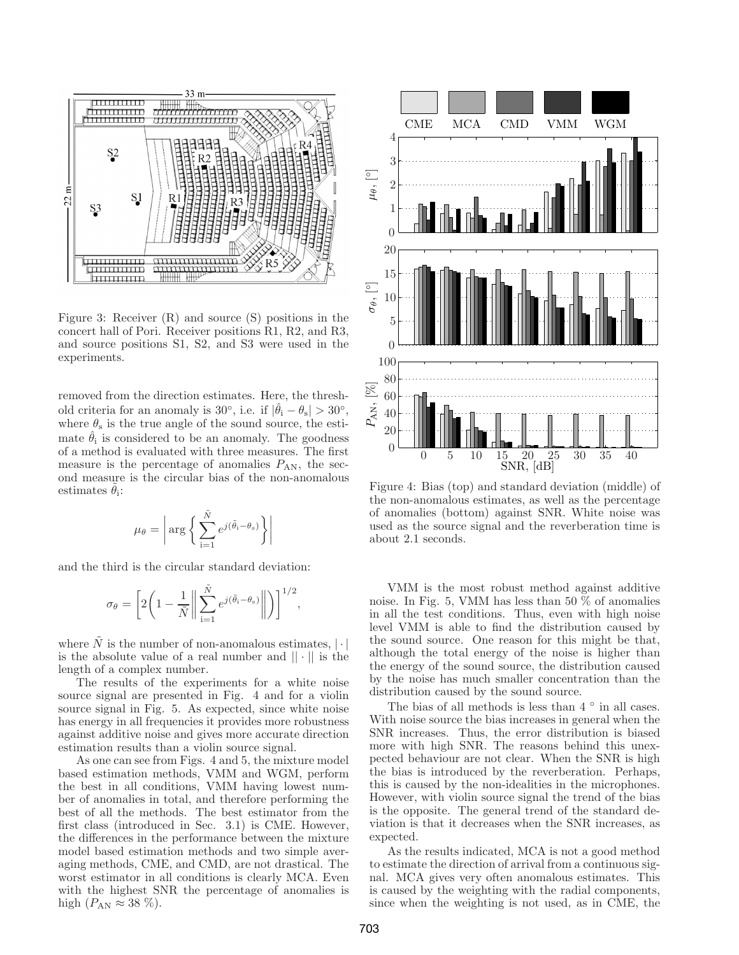

Figure 3: Receiver (R) and source (S) positions in the concert hall of Pori. Receiver positions R1, R2, and R3, and source positions S1, S2, and S3 were used in the experiments.

removed from the direction estimates. Here, the threshold criteria for an anomaly is  $30^\circ$ , i.e. if  $|\hat{\theta}_i - \theta_s| > 30^\circ$ , where  $\theta_s$  is the true angle of the sound source, the estimate  $\hat{\theta}_i$  is considered to be an anomaly. The goodness of a method is evaluated with three measures. The first measure is the percentage of anomalies  $P_{AN}$ , the second measure is the circular bias of the non-anomalous estimates  $\tilde{\theta}_i$ :

$$
\mu_{\theta} = \left| \arg \left\{ \sum_{i=1}^{\tilde{N}} e^{j(\tilde{\theta}_{i} - \theta_{s})} \right\} \right|
$$

and the third is the circular standard deviation:

$$
\sigma_{\theta} = \left[ 2 \bigg( 1 - \frac{1}{\tilde{N}} \bigg\| \sum_{i=1}^{\tilde{N}} e^{j(\tilde{\theta}_{i} - \theta_{s})} \bigg\| \bigg) \right]^{1/2},
$$

where  $\tilde{N}$  is the number of non-anomalous estimates,  $|\cdot|$ is the absolute value of a real number and  $|| \cdot ||$  is the length of a complex number.

The results of the experiments for a white noise source signal are presented in Fig. 4 and for a violin source signal in Fig. 5. As expected, since white noise has energy in all frequencies it provides more robustness against additive noise and gives more accurate direction estimation results than a violin source signal.

As one can see from Figs. 4 and 5, the mixture model based estimation methods, VMM and WGM, perform the best in all conditions, VMM having lowest number of anomalies in total, and therefore performing the best of all the methods. The best estimator from the first class (introduced in Sec. 3.1) is CME. However, the differences in the performance between the mixture model based estimation methods and two simple averaging methods, CME, and CMD, are not drastical. The worst estimator in all conditions is clearly MCA. Even with the highest SNR the percentage of anomalies is high  $(P_{AN} \approx 38 \%)$ .



Figure 4: Bias (top) and standard deviation (middle) of the non-anomalous estimates, as well as the percentage of anomalies (bottom) against SNR. White noise was used as the source signal and the reverberation time is about 2.1 seconds.

VMM is the most robust method against additive noise. In Fig. 5, VMM has less than 50 % of anomalies in all the test conditions. Thus, even with high noise level VMM is able to find the distribution caused by the sound source. One reason for this might be that, although the total energy of the noise is higher than the energy of the sound source, the distribution caused by the noise has much smaller concentration than the distribution caused by the sound source.

The bias of all methods is less than 4  $\degree$  in all cases. With noise source the bias increases in general when the SNR increases. Thus, the error distribution is biased more with high SNR. The reasons behind this unexpected behaviour are not clear. When the SNR is high the bias is introduced by the reverberation. Perhaps, this is caused by the non-idealities in the microphones. However, with violin source signal the trend of the bias is the opposite. The general trend of the standard deviation is that it decreases when the SNR increases, as expected.

As the results indicated, MCA is not a good method to estimate the direction of arrival from a continuous signal. MCA gives very often anomalous estimates. This is caused by the weighting with the radial components, since when the weighting is not used, as in CME, the